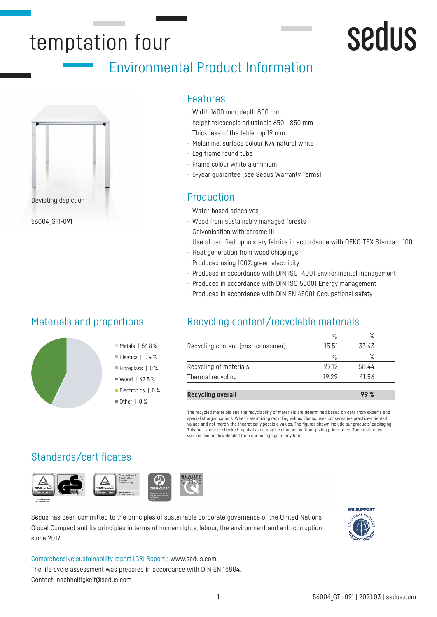## temptation four

## Environmental Product Information



56004\_GTI-091

## Materials and proportions

## Features

- · Width 1600 mm, depth 800 mm, height telescopic adjustable 650 – 850 mm
- · Thickness of the table top 19 mm
- · Melamine, surface colour K74 natural white
- · Leg frame round tube
- · Frame colour white aluminium
- · 5-year guarantee (see Sedus Warranty Terms)

- · Water-based adhesives
- · Wood from sustainably managed forests
- · Galvanisation with chrome III
- · Use of certified upholstery fabrics in accordance with OEKO-TEX Standard 100
- · Heat generation from wood chippings
- · Produced using 100% green electricity
- · Produced in accordance with DIN ISO 14001 Environmental management
- · Produced in accordance with DIN ISO 50001 Energy management
- · Produced in accordance with DIN EN 45001 Occupational safety

## Recycling content/recyclable materials

| Recycling content (post-consumer) | 15.51 | 33 43 |
|-----------------------------------|-------|-------|
|                                   | κa    |       |
| Recycling of materials            | 2712  | 58.44 |
| Thermal recycling                 | 19 29 | 41.56 |
|                                   |       |       |

**Recycling overall 99 %**

The recycled materials and the recyclability of materials are determined based on data from experts and specialist organisations. When determining recycling values, Sedus uses conservative practice-oriented values and not merely the theoretically possible values. The figures shown include our products' packaging. This fact sheet is checked regularly and may be changed without giving prior notice. The most recent version can be downloaded from our homepage at any time.

## Standards/certificates



Sedus has been committed to the principles of sustainable corporate governance of the United Nations Global Compact and its principles in terms of human rights, labour, the environment and anti-corruption since 2017.



sedus

Comprehensive sustainability report (GRI Report): www.sedus.com The life cycle assessment was prepared in accordance with DIN EN 15804. Contact: nachhaltigkeit@sedus.com

Metals | 56.8 % Plastics | 0.4 % Fibreglass | 0 % ■ Wood | 42.8 % Electronics | 0 %  $\blacksquare$  Other | 0 %

#### 1 56004\_GTI-091 | 2021.03 | sedus.com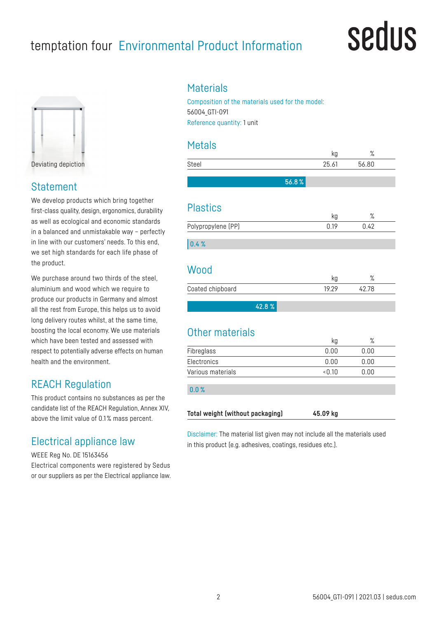## temptation four Environmental Product Information

## sedus



Deviating depiction

### Statement

We develop products which bring together first-class quality, design, ergonomics, durability as well as ecological and economic standards in a balanced and unmistakable way – perfectly in line with our customers' needs. To this end, we set high standards for each life phase of the product.

We purchase around two thirds of the steel. aluminium and wood which we require to produce our products in Germany and almost all the rest from Europe, this helps us to avoid long delivery routes whilst, at the same time, boosting the local economy. We use materials which have been tested and assessed with respect to potentially adverse effects on human health and the environment.

## REACH Regulation

This product contains no substances as per the candidate list of the REACH Regulation, Annex XIV, above the limit value of 0.1 % mass percent.

## Electrical appliance law

WEEE Reg No. DE 15163456 Electrical components were registered by Sedus or our suppliers as per the Electrical appliance law.

### **Materials**

Composition of the materials used for the model: 56004\_GTI-091 Reference quantity: 1 unit

## Metals

|                    | kg         | %            |
|--------------------|------------|--------------|
| Steel              | 25.61      | 56.80        |
| 56.8%              |            |              |
| <b>Plastics</b>    |            |              |
| Polypropylene (PP) | kg<br>0.19 | ℅<br>0.42    |
| 0.4%               |            |              |
| Wood               | kg         | %            |
| Coated chipboard   | 19.29      | 42.78        |
| 42.8%              |            |              |
| Other materials    |            |              |
| Fibreglass         | kg<br>0.00 | $\%$<br>0.00 |
| Electronics        | 0.00       | 0.00         |

0.0 %

|  | Total weight (without packaging) | 45.09 kg |  |
|--|----------------------------------|----------|--|
|  |                                  |          |  |

Disclaimer: The material list given may not include all the materials used in this product (e.g. adhesives, coatings, residues etc.).

Various materials <0.10 0.00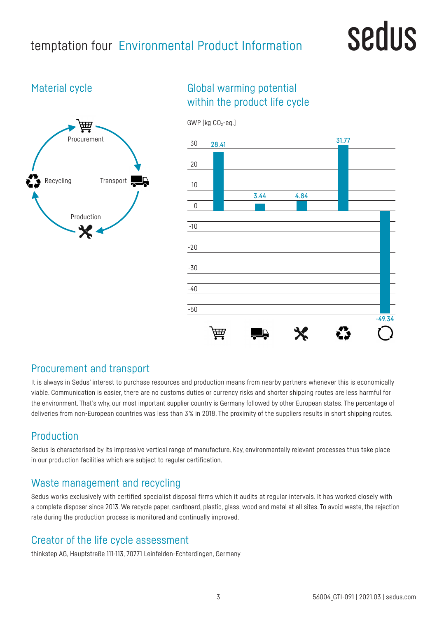## temptation four Environmental Product Information

## sedus

## Material cycle



## Global warming potential within the product life cycle



## Procurement and transport

It is always in Sedus' interest to purchase resources and production means from nearby partners whenever this is economically viable. Communication is easier, there are no customs duties or currency risks and shorter shipping routes are less harmful for the environment. That's why, our most important supplier country is Germany followed by other European states. The percentage of deliveries from non-European countries was less than 3% in 2018. The proximity of the suppliers results in short shipping routes.

## Production

Sedus is characterised by its impressive vertical range of manufacture. Key, environmentally relevant processes thus take place in our production facilities which are subject to regular certification.

## Waste management and recycling

Sedus works exclusively with certified specialist disposal firms which it audits at regular intervals. It has worked closely with a complete disposer since 2013. We recycle paper, cardboard, plastic, glass, wood and metal at all sites. To avoid waste, the rejection rate during the production process is monitored and continually improved.

## Creator of the life cycle assessment

thinkstep AG, Hauptstraße 111-113, 70771 Leinfelden-Echterdingen, Germany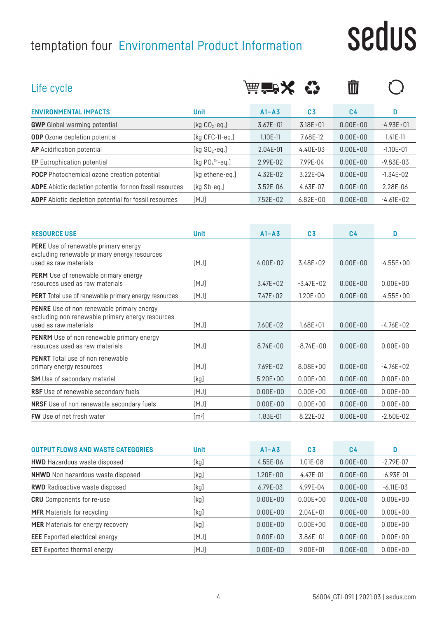## temptation four Environmental Product Information

# sedus

| Life cycle                                                                                                                    |                    | 茜 音次         |                | णि             |               |
|-------------------------------------------------------------------------------------------------------------------------------|--------------------|--------------|----------------|----------------|---------------|
| <b>ENVIRONMENTAL IMPACTS</b>                                                                                                  | <b>Unit</b>        | $A1 - A3$    | C <sub>3</sub> | C <sub>4</sub> | D             |
| <b>GWP</b> Global warming potential                                                                                           | [kg $CO2$ -eq.]    | $3.67E + 01$ | $3.18E + 01$   | $0.00E + 00$   | $-4.93E+01$   |
| <b>ODP</b> Ozone depletion potential                                                                                          | [ $kg$ CFC-11-eq.] | 1.10E-11     | 7.68E-12       | $0.00E + 00$   | $1.41E - 11$  |
| <b>AP</b> Acidification potential                                                                                             | [kg $SO_2$ -eq.]   | 2.04E-01     | 4.40E-03       | $0.00E + 00$   | $-1.10E - 01$ |
| <b>EP</b> Eutrophication potential                                                                                            | [kg $PO43-eq.$ ]   | 2.99E-02     | 7.99E-04       | $0.00E + 00$   | $-9.83E - 03$ |
| <b>POCP</b> Photochemical ozone creation potential                                                                            | [kg ethene-eq.]    | 4.32E-02     | 3.22E-04       | $0.00E + 00$   | $-1.34E-02$   |
| ADPE Abiotic depletion potential for non fossil resources                                                                     | [kg Sb-eq.]        | 3.52E-06     | 4.63E-07       | $0.00E + 00$   | 2.28E-06      |
| ADPF Abiotic depletion potential for fossil resources                                                                         | [MJ]               | $7.52E + 02$ | $6.82E + 00$   | $0.00E + 00$   | $-4.61E + 02$ |
| <b>RESOURCE USE</b>                                                                                                           | <b>Unit</b>        | $A1 - A3$    | C <sub>3</sub> | C <sub>4</sub> | D             |
| <b>PERE</b> Use of renewable primary energy<br>excluding renewable primary energy resources<br>used as raw materials          | [MJ]               | $4.00E + 02$ | 3.48E+02       | $0.00E + 00$   | $-4.55E+00$   |
| <b>PERM</b> Use of renewable primary energy<br>resources used as raw materials                                                | [MJ]               | $3.47E + 02$ | $-3.47E + 02$  | $0.00E + 00$   | $0.00E + 00$  |
| <b>PERT</b> Total use of renewable primary energy resources                                                                   | [MJ]               | $7.47E + 02$ | $1.20E + 00$   | $0.00E + 00$   | $-4.55E+00$   |
| <b>PENRE</b> Use of non renewable primary energy<br>excluding non renewable primary energy resources<br>used as raw materials | [MJ]               | $7.60E + 02$ | $1.68E + 01$   | $0.00E + 00$   | $-4.76E+02$   |
| <b>PENRM</b> Use of non renewable primary energy<br>resources used as raw materials                                           | [MJ]               | $8.74E + 00$ | $-8.74E+00$    | $0.00E + 00$   | $0.00E + 00$  |
| <b>PENRT</b> Total use of non renewable<br>primary energy resources                                                           | [MJ]               | $7.69E + 02$ | $8.08E + 00$   | $0.00E + 00$   | $-4.76E+02$   |
| <b>SM</b> Use of secondary material                                                                                           | [kg]               | $5.20E + 00$ | $0.00E + 00$   | $0.00E + 00$   | $0.00E + 00$  |
| RSF Use of renewable secondary fuels                                                                                          | [MJ]               | $0.00E + 00$ | $0.00E + 00$   | $0.00E + 00$   | $0.00E + 00$  |
| <b>NRSF</b> Use of non renewable secondary fuels                                                                              | [MJ]               | $0.00E + 00$ | $0.00E + 00$   | $0.00E + 00$   | $0.00E + 00$  |

| <b>OUTPUT FLOWS AND WASTE CATEGORIES</b> | <b>Unit</b> | $A1 - A3$    | C <sub>3</sub> | C <sub>4</sub> | D              |
|------------------------------------------|-------------|--------------|----------------|----------------|----------------|
| <b>HWD</b> Hazardous waste disposed      | [kg]        | $4.55E-06$   | 1.01E-08       | $0.00E + 00$   | $-2.79E - 07$  |
| <b>NHWD</b> Non hazardous waste disposed | [kg]        | $1.20E + 00$ | $4.47E - 01$   | $0.00E + 00$   | $-6.93E - 01$  |
| <b>RWD</b> Radioactive waste disposed    | [kg]        | $6.79E - 03$ | 4.99E-04       | $0.00E + 00$   | $-6.11E - 0.3$ |
| <b>CRU</b> Components for re-use         | [kg]        | $0.00E + 00$ | $0.00E + 00$   | $0.00E + 00$   | $0.00E + 00$   |
| <b>MFR</b> Materials for recycling       | [kg]        | $0.00E + 00$ | $2.04E + 01$   | $0.00E + 00$   | $0.00E + 00$   |
| <b>MER</b> Materials for energy recovery | [kg]        | $0.00E + 00$ | $0.00E + 00$   | $0.00E + 00$   | $0.00E + 00$   |
| <b>EEE</b> Exported electrical energy    | [MJ]        | $0.00E + 00$ | $3.86E + 01$   | $0.00E + 00$   | $0.00E + 00$   |
| <b>EET</b> Exported thermal energy       | [MJ]        | $0.00E + 00$ | $9.00E + 01$   | $0.00E + 00$   | $0.00E + 00$   |

**FW** Use of net fresh water  $[m^3]$ 

] 1.83E-01 8.22E-02 0.00E+00 -2.50E-02